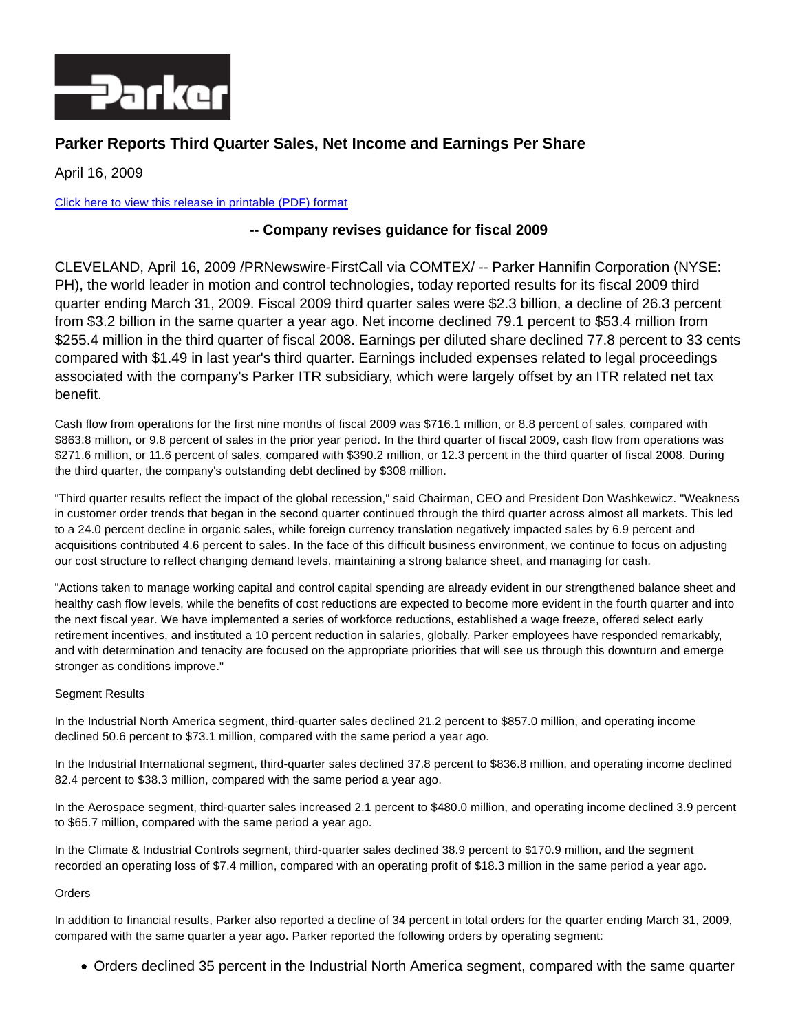

# **Parker Reports Third Quarter Sales, Net Income and Earnings Per Share**

April 16, 2009

### [Click here to view this release in printable \(PDF\) format](http://phx.corporate-ir.net/External.File?item=UGFyZW50SUQ9MTkxMHxDaGlsZElEPS0xfFR5cGU9Mw==&t=1)

## **-- Company revises guidance for fiscal 2009**

CLEVELAND, April 16, 2009 /PRNewswire-FirstCall via COMTEX/ -- Parker Hannifin Corporation (NYSE: PH), the world leader in motion and control technologies, today reported results for its fiscal 2009 third quarter ending March 31, 2009. Fiscal 2009 third quarter sales were \$2.3 billion, a decline of 26.3 percent from \$3.2 billion in the same quarter a year ago. Net income declined 79.1 percent to \$53.4 million from \$255.4 million in the third quarter of fiscal 2008. Earnings per diluted share declined 77.8 percent to 33 cents compared with \$1.49 in last year's third quarter. Earnings included expenses related to legal proceedings associated with the company's Parker ITR subsidiary, which were largely offset by an ITR related net tax benefit.

Cash flow from operations for the first nine months of fiscal 2009 was \$716.1 million, or 8.8 percent of sales, compared with \$863.8 million, or 9.8 percent of sales in the prior year period. In the third quarter of fiscal 2009, cash flow from operations was \$271.6 million, or 11.6 percent of sales, compared with \$390.2 million, or 12.3 percent in the third quarter of fiscal 2008. During the third quarter, the company's outstanding debt declined by \$308 million.

"Third quarter results reflect the impact of the global recession," said Chairman, CEO and President Don Washkewicz. "Weakness in customer order trends that began in the second quarter continued through the third quarter across almost all markets. This led to a 24.0 percent decline in organic sales, while foreign currency translation negatively impacted sales by 6.9 percent and acquisitions contributed 4.6 percent to sales. In the face of this difficult business environment, we continue to focus on adjusting our cost structure to reflect changing demand levels, maintaining a strong balance sheet, and managing for cash.

"Actions taken to manage working capital and control capital spending are already evident in our strengthened balance sheet and healthy cash flow levels, while the benefits of cost reductions are expected to become more evident in the fourth quarter and into the next fiscal year. We have implemented a series of workforce reductions, established a wage freeze, offered select early retirement incentives, and instituted a 10 percent reduction in salaries, globally. Parker employees have responded remarkably, and with determination and tenacity are focused on the appropriate priorities that will see us through this downturn and emerge stronger as conditions improve."

#### Segment Results

In the Industrial North America segment, third-quarter sales declined 21.2 percent to \$857.0 million, and operating income declined 50.6 percent to \$73.1 million, compared with the same period a year ago.

In the Industrial International segment, third-quarter sales declined 37.8 percent to \$836.8 million, and operating income declined 82.4 percent to \$38.3 million, compared with the same period a year ago.

In the Aerospace segment, third-quarter sales increased 2.1 percent to \$480.0 million, and operating income declined 3.9 percent to \$65.7 million, compared with the same period a year ago.

In the Climate & Industrial Controls segment, third-quarter sales declined 38.9 percent to \$170.9 million, and the segment recorded an operating loss of \$7.4 million, compared with an operating profit of \$18.3 million in the same period a year ago.

#### **Orders**

In addition to financial results, Parker also reported a decline of 34 percent in total orders for the quarter ending March 31, 2009, compared with the same quarter a year ago. Parker reported the following orders by operating segment:

Orders declined 35 percent in the Industrial North America segment, compared with the same quarter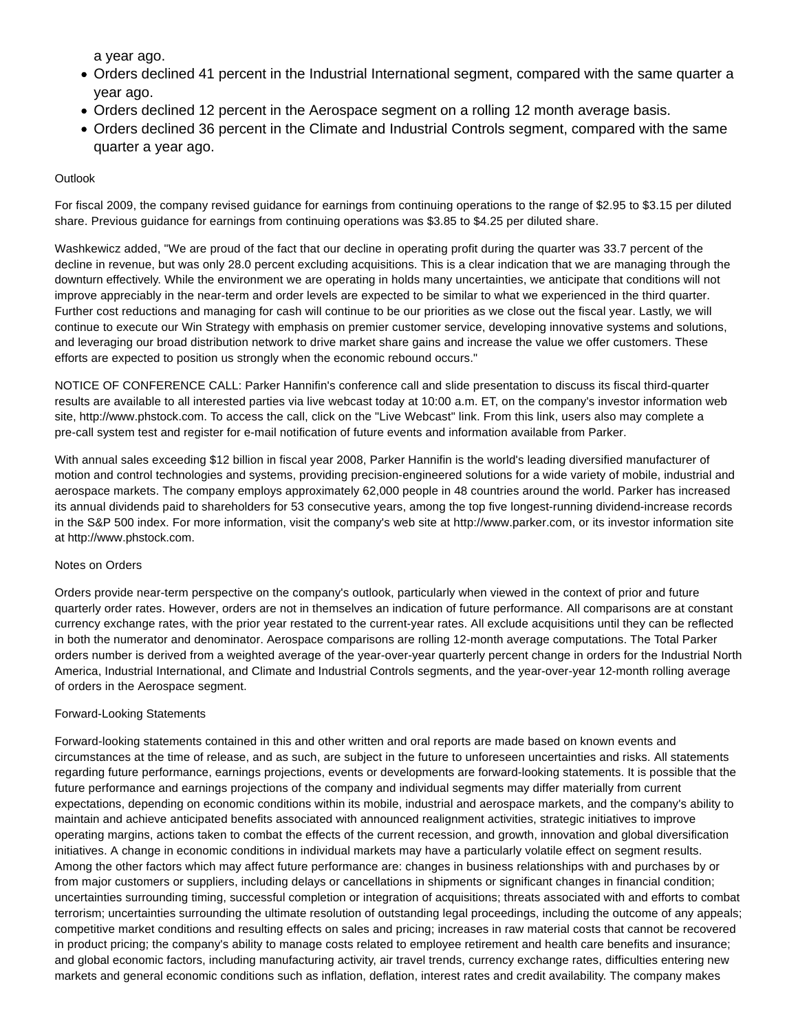a year ago.

- Orders declined 41 percent in the Industrial International segment, compared with the same quarter a year ago.
- Orders declined 12 percent in the Aerospace segment on a rolling 12 month average basis.
- Orders declined 36 percent in the Climate and Industrial Controls segment, compared with the same quarter a year ago.

#### **Outlook**

For fiscal 2009, the company revised guidance for earnings from continuing operations to the range of \$2.95 to \$3.15 per diluted share. Previous guidance for earnings from continuing operations was \$3.85 to \$4.25 per diluted share.

Washkewicz added, "We are proud of the fact that our decline in operating profit during the quarter was 33.7 percent of the decline in revenue, but was only 28.0 percent excluding acquisitions. This is a clear indication that we are managing through the downturn effectively. While the environment we are operating in holds many uncertainties, we anticipate that conditions will not improve appreciably in the near-term and order levels are expected to be similar to what we experienced in the third quarter. Further cost reductions and managing for cash will continue to be our priorities as we close out the fiscal year. Lastly, we will continue to execute our Win Strategy with emphasis on premier customer service, developing innovative systems and solutions, and leveraging our broad distribution network to drive market share gains and increase the value we offer customers. These efforts are expected to position us strongly when the economic rebound occurs."

NOTICE OF CONFERENCE CALL: Parker Hannifin's conference call and slide presentation to discuss its fiscal third-quarter results are available to all interested parties via live webcast today at 10:00 a.m. ET, on the company's investor information web site, http://www.phstock.com. To access the call, click on the "Live Webcast" link. From this link, users also may complete a pre-call system test and register for e-mail notification of future events and information available from Parker.

With annual sales exceeding \$12 billion in fiscal year 2008, Parker Hannifin is the world's leading diversified manufacturer of motion and control technologies and systems, providing precision-engineered solutions for a wide variety of mobile, industrial and aerospace markets. The company employs approximately 62,000 people in 48 countries around the world. Parker has increased its annual dividends paid to shareholders for 53 consecutive years, among the top five longest-running dividend-increase records in the S&P 500 index. For more information, visit the company's web site at http://www.parker.com, or its investor information site at http://www.phstock.com.

#### Notes on Orders

Orders provide near-term perspective on the company's outlook, particularly when viewed in the context of prior and future quarterly order rates. However, orders are not in themselves an indication of future performance. All comparisons are at constant currency exchange rates, with the prior year restated to the current-year rates. All exclude acquisitions until they can be reflected in both the numerator and denominator. Aerospace comparisons are rolling 12-month average computations. The Total Parker orders number is derived from a weighted average of the year-over-year quarterly percent change in orders for the Industrial North America, Industrial International, and Climate and Industrial Controls segments, and the year-over-year 12-month rolling average of orders in the Aerospace segment.

#### Forward-Looking Statements

Forward-looking statements contained in this and other written and oral reports are made based on known events and circumstances at the time of release, and as such, are subject in the future to unforeseen uncertainties and risks. All statements regarding future performance, earnings projections, events or developments are forward-looking statements. It is possible that the future performance and earnings projections of the company and individual segments may differ materially from current expectations, depending on economic conditions within its mobile, industrial and aerospace markets, and the company's ability to maintain and achieve anticipated benefits associated with announced realignment activities, strategic initiatives to improve operating margins, actions taken to combat the effects of the current recession, and growth, innovation and global diversification initiatives. A change in economic conditions in individual markets may have a particularly volatile effect on segment results. Among the other factors which may affect future performance are: changes in business relationships with and purchases by or from major customers or suppliers, including delays or cancellations in shipments or significant changes in financial condition; uncertainties surrounding timing, successful completion or integration of acquisitions; threats associated with and efforts to combat terrorism; uncertainties surrounding the ultimate resolution of outstanding legal proceedings, including the outcome of any appeals; competitive market conditions and resulting effects on sales and pricing; increases in raw material costs that cannot be recovered in product pricing; the company's ability to manage costs related to employee retirement and health care benefits and insurance; and global economic factors, including manufacturing activity, air travel trends, currency exchange rates, difficulties entering new markets and general economic conditions such as inflation, deflation, interest rates and credit availability. The company makes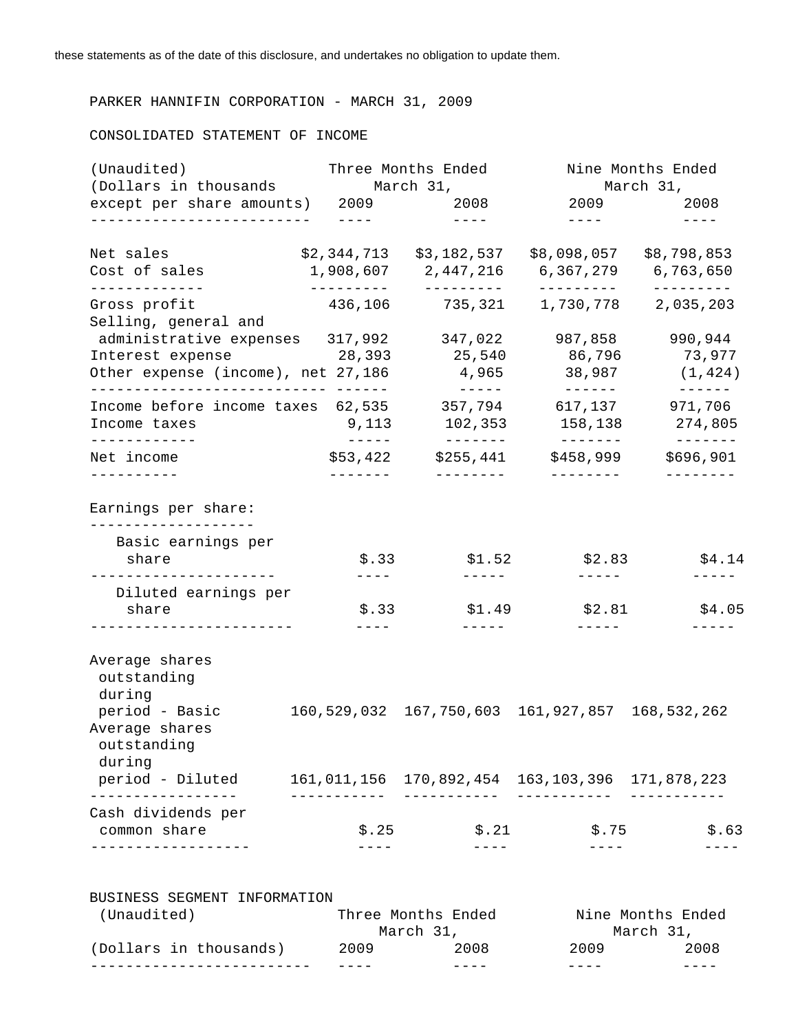## PARKER HANNIFIN CORPORATION - MARCH 31, 2009

### CONSOLIDATED STATEMENT OF INCOME

|                                                                          | Three Months Ended<br>(Dollars in thousands March 31, |                                                         | Nine Months Ended<br>March 31, |                                  |  |
|--------------------------------------------------------------------------|-------------------------------------------------------|---------------------------------------------------------|--------------------------------|----------------------------------|--|
| except per share amounts) 2009 2008                                      |                                                       |                                                         |                                | 2009 2008                        |  |
| --------------------------                                               | $\frac{1}{2}$                                         | $\qquad \qquad - - - -$                                 | $\frac{1}{2}$                  | $- - - - -$                      |  |
| Net sales                                                                |                                                       |                                                         |                                |                                  |  |
| Cost of sales<br>-------------                                           | ----------                                            | ---------                                               | ---------                      | 6,367,279 6,763,650<br>--------- |  |
| Gross profit                                                             | 436,106                                               | 735,321                                                 | 1,730,778                      | 2,035,203                        |  |
| Selling, general and                                                     |                                                       |                                                         |                                |                                  |  |
| administrative expenses 317,992                                          |                                                       | 347,022                                                 | 987,858                        | 990,944                          |  |
| Interest expense                                                         |                                                       | 28,393 25,540                                           | 86,796                         | 73,977                           |  |
| Other expense (income), net 27,186                                       |                                                       | $4,965$ 38,987<br>$- - - - -$                           | _______                        | (1, 424)<br>-------              |  |
| Income before income taxes $62,535$ $357,794$ $617,137$                  |                                                       |                                                         |                                | 971,706                          |  |
| Income taxes<br>------------                                             | 9,113<br>$\qquad \qquad - - - - -$                    | 102,353<br>________                                     | 158,138<br>--------            | 274,805<br>$- - - - - - -$       |  |
| Net income                                                               |                                                       | $$53,422$ $$255,441$                                    | \$458,999                      | \$696,901                        |  |
| ----------                                                               | --------                                              | __________                                              | $- - - - - - - -$              | $- - - - - - - -$                |  |
| Earnings per share:<br>--------------------                              |                                                       |                                                         |                                |                                  |  |
| Basic earnings per<br>share                                              | \$.33                                                 | \$1.52                                                  |                                | $$2.83$ $$4.14$                  |  |
| ----------------------                                                   | $---$                                                 | $- - - - - -$                                           | ------                         |                                  |  |
| Diluted earnings per<br>share                                            | \$.33                                                 | \$1.49                                                  | \$2.81                         | \$4.05                           |  |
|                                                                          | $- - - -$                                             | $- - - - - -$                                           | $- - - - - -$                  |                                  |  |
| Average shares<br>outstanding                                            |                                                       |                                                         |                                |                                  |  |
|                                                                          |                                                       |                                                         |                                |                                  |  |
| during                                                                   |                                                       |                                                         |                                |                                  |  |
| period - Basic<br>Average shares                                         |                                                       | 160, 529, 032 167, 750, 603 161, 927, 857 168, 532, 262 |                                |                                  |  |
| outstanding                                                              |                                                       |                                                         |                                |                                  |  |
| during                                                                   |                                                       |                                                         |                                |                                  |  |
| period - Diluted 161, 011, 156 170, 892, 454 163, 103, 396 171, 878, 223 |                                                       |                                                         |                                |                                  |  |
| ---------------<br>Cash dividends per                                    | ---------                                             |                                                         | -----------                    |                                  |  |

| (Unaudited)            | Three Months Ended |      |           | Nine Months Ended |
|------------------------|--------------------|------|-----------|-------------------|
|                        | March 31,          |      | March 31, |                   |
| (Dollars in thousands) | 2009               | 2008 | 2009      | 2008              |
|                        |                    |      |           |                   |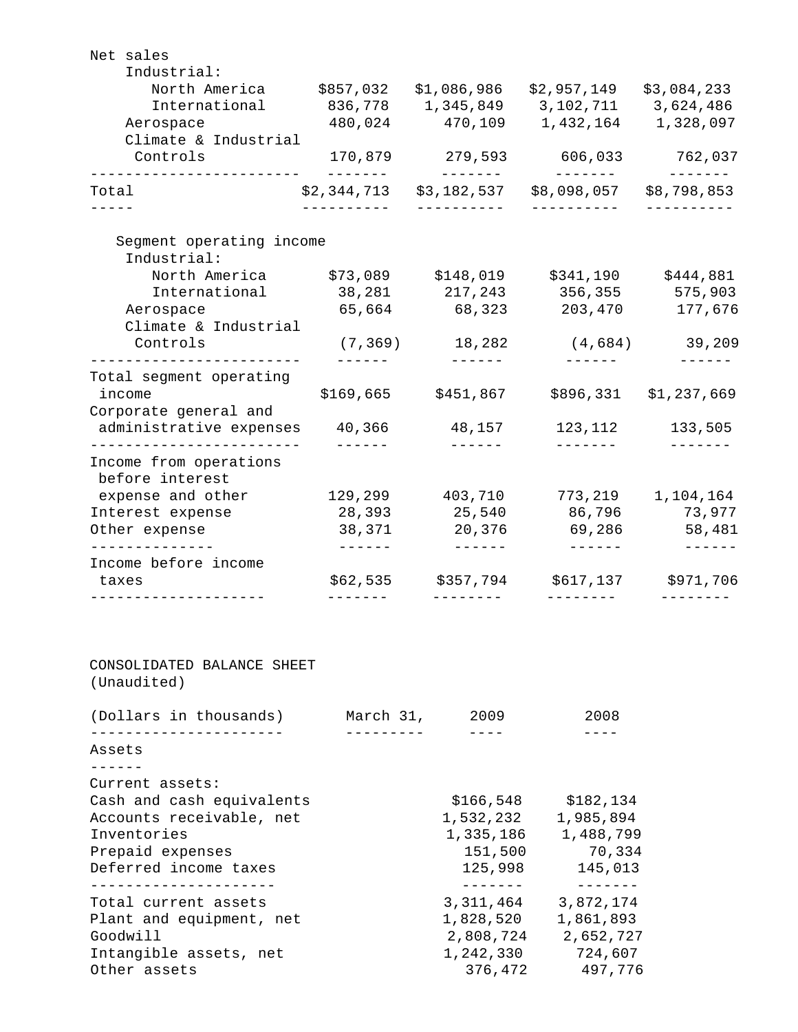| Net sales<br>Industrial:                                                           |                         |                           |                                            |                                  |
|------------------------------------------------------------------------------------|-------------------------|---------------------------|--------------------------------------------|----------------------------------|
| North America \$857,032 \$1,086,986 \$2,957,149                                    |                         |                           |                                            | \$3,084,233                      |
| International                                                                      |                         |                           | 836,778  1,345,849  3,102,711  3,624,486   |                                  |
| Aerospace                                                                          | 480,024                 | 470,109                   | 1,432,164                                  | 1,328,097                        |
| Climate & Industrial<br>Controls                                                   | 170,879                 | 279,593                   | 606,033                                    | 762,037                          |
| Total                                                                              | --------<br>\$2,344,713 | --------<br>\$3,182,537   | --------<br>\$8,098,057                    | $- - - - - - - -$<br>\$8,798,853 |
|                                                                                    | -----------             | -----------               | -----------                                | -----------                      |
| Segment operating income<br>Industrial:                                            |                         |                           |                                            |                                  |
| North America \$73,089 \$148,019                                                   |                         |                           | \$341,190                                  | \$444,881                        |
| International                                                                      |                         | 38,281 217,243            | 356,355                                    | 575,903                          |
| Aerospace                                                                          | 65,664                  | 68,323                    | 203,470                                    | 177,676                          |
| Climate & Industrial                                                               |                         |                           |                                            |                                  |
| Controls                                                                           |                         | $(7, 369)$ 18,282         |                                            | $(4,684)$ 39,209                 |
| ----------------------                                                             |                         | $- - - - - - -$           |                                            |                                  |
| Total segment operating                                                            |                         |                           |                                            |                                  |
| income                                                                             |                         | $$169,665$ $$451,867$     | \$896,331                                  | \$1,237,669                      |
| Corporate general and                                                              |                         |                           |                                            |                                  |
| administrative expenses                                                            | 40,366                  | 48,157                    | 123,112                                    | 133,505                          |
| Income from operations<br>before interest<br>expense and other<br>Interest expense | 129,299<br>28,393       | 403,710<br>25,540         | 773,219<br>86,796                          | 1,104,164<br>73,977              |
| Other expense<br>-------------                                                     | 38,371<br>$- - - - - -$ | 20,376<br>$- - - - - - -$ | 69,286                                     | 58,481                           |
| Income before income                                                               |                         |                           |                                            |                                  |
| taxes                                                                              |                         |                           | $$62,535$ $$357,794$ $$617,137$ $$971,706$ |                                  |
| CONSOLIDATED BALANCE SHEET                                                         |                         |                           |                                            |                                  |
|                                                                                    |                         |                           |                                            |                                  |
| (Unaudited)<br>(Dollars in thousands) March 31, 2009                               |                         |                           | 2008                                       |                                  |
| _________________<br>Assets                                                        | ----------              | $- - - -$                 | $- - - -$                                  |                                  |
| -------                                                                            |                         |                           |                                            |                                  |
| Current assets:                                                                    |                         |                           |                                            |                                  |
| Cash and cash equivalents                                                          |                         |                           | \$166,548 \$182,134                        |                                  |
| Accounts receivable, net                                                           |                         |                           | 1,532,232 1,985,894                        |                                  |
| Inventories                                                                        |                         |                           | 1,335,186 1,488,799                        |                                  |
|                                                                                    |                         | 151,500<br>125,998        | 70,334<br>145,013                          |                                  |
| --------------------                                                               |                         | -------                   | $- - - - - - - -$                          |                                  |
| Prepaid expenses<br>Deferred income taxes<br>Total current assets                  |                         | 3, 311, 464               | 3,872,174                                  |                                  |
| Plant and equipment, net                                                           |                         | 1,828,520                 | 1,861,893                                  |                                  |
| Goodwill                                                                           |                         |                           | 2,808,724 2,652,727                        |                                  |
| Intangible assets, net<br>Other assets                                             |                         |                           | 1, 242, 330 724, 607<br>376,472 497,776    |                                  |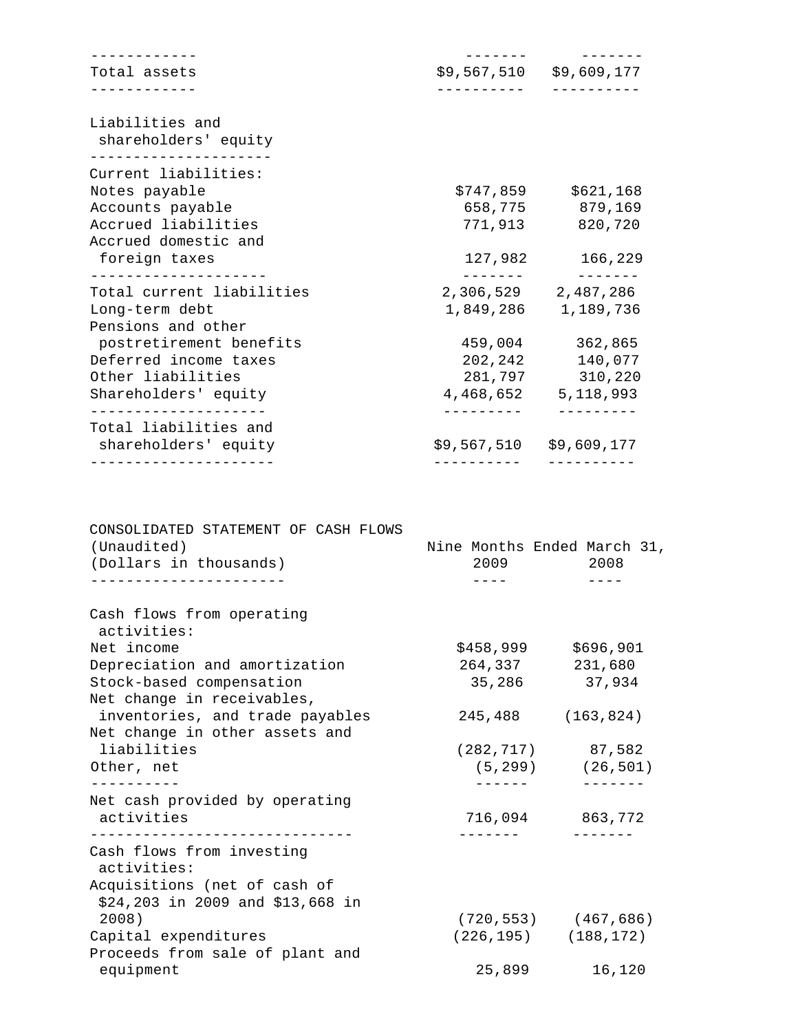| Total assets                            | \$9,567,510 \$9,609,177   |                       |
|-----------------------------------------|---------------------------|-----------------------|
|                                         |                           |                       |
| Liabilities and<br>shareholders' equity |                           |                       |
| Current liabilities:                    |                           |                       |
| Notes payable                           |                           | $$747,859$ $$621,168$ |
| Accounts payable                        |                           | 658,775 879,169       |
| Accrued liabilities                     | 771,913                   | 820,720               |
| Accrued domestic and                    |                           |                       |
| foreign taxes                           |                           | 127,982 166,229       |
| Total current liabilities               | 2,306,529 2,487,286       |                       |
|                                         |                           |                       |
| Long-term debt<br>Pensions and other    | 1,849,286 1,189,736       |                       |
| postretirement benefits                 | 459,004                   | 362,865               |
| Deferred income taxes                   | 202, 242                  | 140,077               |
| Other liabilities                       | 281,797                   | 310,220               |
| Shareholders' equity                    | 4, 468, 652 5, 118, 993   |                       |
| .                                       |                           |                       |
| Total liabilities and                   |                           |                       |
| shareholders' equity                    | $$9,567,510$ $$9,609,177$ |                       |
|                                         |                           |                       |

| CONSOLIDATED STATEMENT OF CASH FLOWS         |                             |                           |
|----------------------------------------------|-----------------------------|---------------------------|
| (Unaudited)                                  | Nine Months Ended March 31, |                           |
| (Dollars in thousands)                       | 2009 2008                   |                           |
|                                              |                             |                           |
| Cash flows from operating<br>activities:     |                             |                           |
| Net income                                   |                             | \$458,999 \$696,901       |
| Depreciation and amortization                | 264,337 231,680             |                           |
| Stock-based compensation                     |                             | 35,286 37,934             |
| Net change in receivables,                   |                             |                           |
| inventories, and trade payables              |                             | 245,488 (163,824)         |
| Net change in other assets and               |                             |                           |
| liabilities                                  |                             | $(282, 717)$ 87,582       |
| Other, net                                   |                             | $(5, 299)$ $(26, 501)$    |
| ----------<br>Net cash provided by operating |                             |                           |
| activities                                   |                             | 716,094 863,772           |
|                                              |                             |                           |
| Cash flows from investing<br>activities:     |                             |                           |
| Acquisitions (net of cash of                 |                             |                           |
| \$24,203 in 2009 and \$13,668 in             |                             |                           |
| 2008)                                        |                             | $(720, 553)$ $(467, 686)$ |
| Capital expenditures                         |                             | $(226, 195)$ $(188, 172)$ |
| Proceeds from sale of plant and              |                             |                           |
| equipment                                    | 25,899                      | 16,120                    |
|                                              |                             |                           |